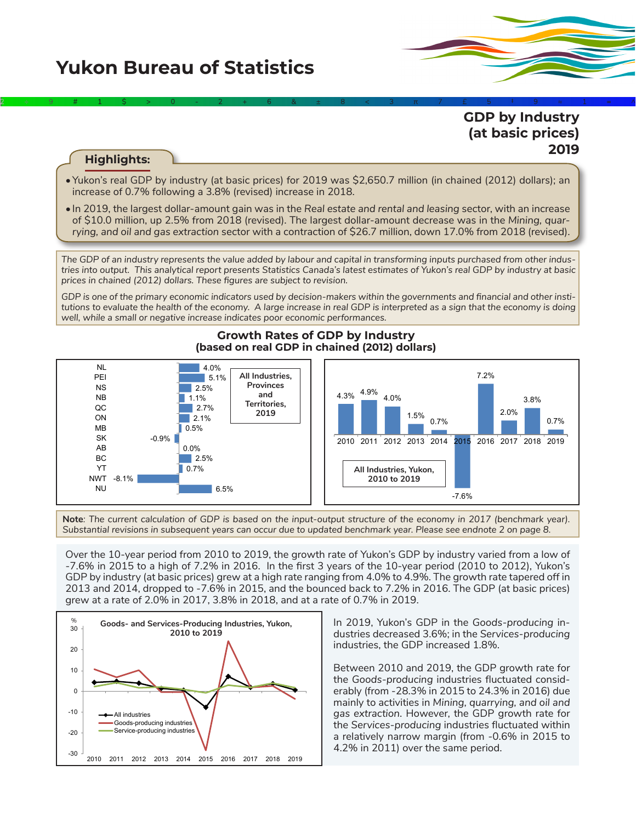## **Yukon Bureau of Statistics**



### **GDP by Industry (at basic prices) 2019**

#### **Highlights:**

•Yukon's real GDP by industry (at basic prices) for 2019 was \$2,650.7 million (in chained (2012) dollars); an increase of 0.7% following a 3.8% (revised) increase in 2018.

2÷9#1\$>0-2+6&±8<3π7£5‡9≈1∞^

• In 2019, the largest dollar-amount gain was in the *Real estate and rental and leasing* sector, with an increase of \$10.0 million, up 2.5% from 2018 (revised). The largest dollar-amount decrease was in the *Mining, quarrying, and oil and gas extraction* sector with a contraction of \$26.7 million, down 17.0% from 2018 (revised).

*The GDP of an industry represents the value added by labour and capital in transforming inputs purchased from other industries into output. This analytical report presents Statistics Canada's latest estimates of Yukon's real GDP by industry at basic prices in chained (2012) dollars. These figures are subject to revision.*

*GDP is one of the primary economic indicators used by decision-makers within the governments and financial and other institutions to evaluate the health of the economy. A large increase in real GDP is interpreted as a sign that the economy is doing well, while a small or negative increase indicates poor economic performances.*



**Growth Rates of GDP by Industry (based on real GDP in chained (2012) dollars)**

**Note***: The current calculation of GDP is based on the input-output structure of the economy in 2017 (benchmark year). Substantial revisions in subsequent years can occur due to updated benchmark year. Please see endnote 2 on page 8.*

Over the 10-year period from 2010 to 2019, the growth rate of Yukon's GDP by industry varied from a low of -7.6% in 2015 to a high of 7.2% in 2016. In the first 3 years of the 10-year period (2010 to 2012), Yukon's GDP by industry (at basic prices) grew at a high rate ranging from 4.0% to 4.9%. The growth rate tapered off in 2013 and 2014, dropped to -7.6% in 2015, and the bounced back to 7.2% in 2016. The GDP (at basic prices) grew at a rate of 2.0% in 2017, 3.8% in 2018, and at a rate of 0.7% in 2019.



In 2019, Yukon's GDP in the *Goods-producing* industries decreased 3.6%; in the *Services-producing*  industries, the GDP increased 1.8%.

Between 2010 and 2019, the GDP growth rate for the *Goods-producing* industries fluctuated considerably (from -28.3% in 2015 to 24.3% in 2016) due mainly to activities in *Mining, quarrying, and oil and gas extraction*. However, the GDP growth rate for the *Services-producing* industries fluctuated within a relatively narrow margin (from -0.6% in 2015 to 4.2% in 2011) over the same period.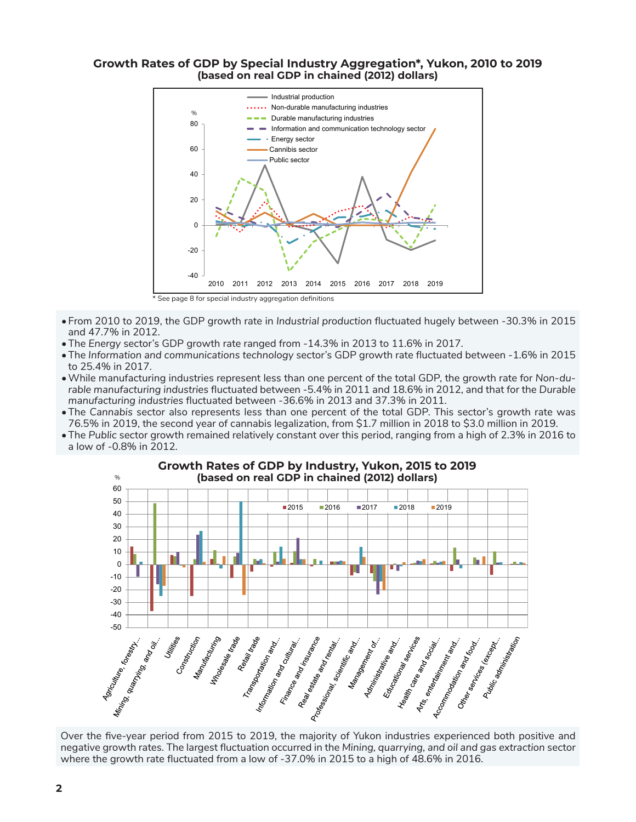#### **Growth Rates of GDP by Special Industry Aggregation\*, Yukon, 2010 to 2019 (based on real GDP in chained (2012) dollars)**



- From 2010 to 2019, the GDP growth rate in *Industrial production* fluctuated hugely between -30.3% in 2015 and 47.7% in 2012.
- •The *Energy* sector's GDP growth rate ranged from -14.3% in 2013 to 11.6% in 2017.
- •The *Information and communications technology* sector's GDP growth rate fluctuated between -1.6% in 2015 to 25.4% in 2017.
- •While manufacturing industries represent less than one percent of the total GDP, the growth rate for *Non-durable manufacturing industries* fluctuated between -5.4% in 2011 and 18.6% in 2012, and that for the *Durable manufacturing industries* fluctuated between -36.6% in 2013 and 37.3% in 2011.
- •The *Cannabis* sector also represents less than one percent of the total GDP. This sector's growth rate was 76.5% in 2019, the second year of cannabis legalization, from \$1.7 million in 2018 to \$3.0 million in 2019.
- •The *Public* sector growth remained relatively constant over this period, ranging from a high of 2.3% in 2016 to a low of -0.8% in 2012.



# **Growth Rates of GDP by Industry, Yukon, 2015 to 2019**

negative growth rates. The largest fluctuation occurred in the *Mining, quarrying, and oil and gas extraction* sector where the growth rate fluctuated from a low of -37.0% in 2015 to a high of 48.6% in 2016.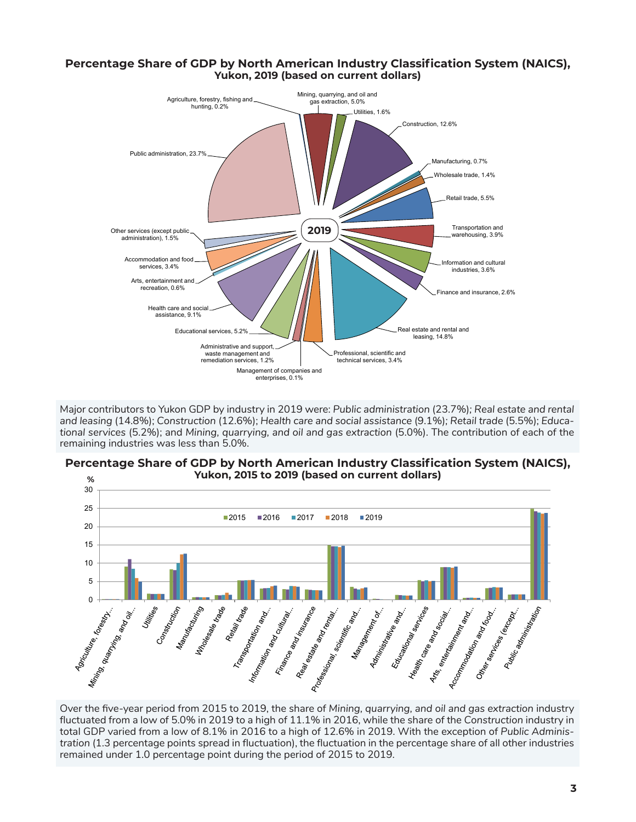

Major contributors to Yukon GDP by industry in 2019 were: *Public administration* (23.7%)*; Real estate and rental and leasing* (14.8%); *Construction* (12.6%); *Health care and social assistance* (9.1%)*; Retail trade* (5.5%); *Educational services* (5.2%); and *Mining, quarrying, and oil and gas extraction* (5.0%). The contribution of each of the remaining industries was less than 5.0%.



#### **Percentage Share of GDP by North American Industry Classification System (NAICS), Yukon, 2015 to 2019 (based on current dollars)**

Over the five-year period from 2015 to 2019, the share of *Mining, quarrying, and oil and gas extraction* industry fluctuated from a low of 5.0% in 2019 to a high of 11.1% in 2016, while the share of the *Construction* industry in total GDP varied from a low of 8.1% in 2016 to a high of 12.6% in 2019. With the exception of *Public Administration* (1.3 percentage points spread in fluctuation), the fluctuation in the percentage share of all other industries remained under 1.0 percentage point during the period of 2015 to 2019.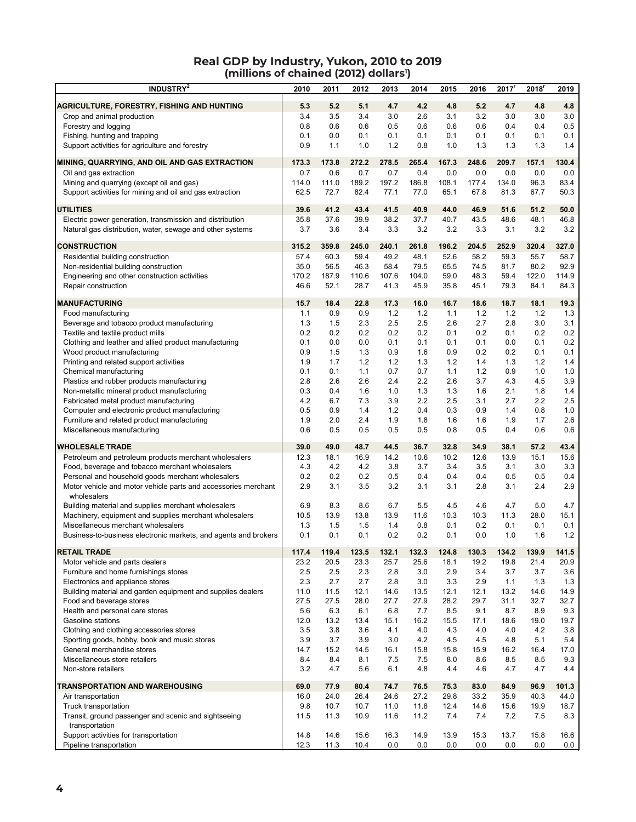#### **Real GDP by Industry, Yukon, 2010 to 2019 (millions of chained (2012) dollars1 )**

| <b>INDUSTRY</b> <sup>2</sup>                                                     | 2010          | 2011          | 2012          | 2013          | 2014          | 2015         | 2016         | 2017         | 2018          | 2019          |
|----------------------------------------------------------------------------------|---------------|---------------|---------------|---------------|---------------|--------------|--------------|--------------|---------------|---------------|
|                                                                                  |               |               |               |               |               |              |              |              |               |               |
| <b>AGRICULTURE, FORESTRY, FISHING AND HUNTING</b>                                | 5.3           | 5.2           | 5.1           | 4.7           | 4.2           | 4.8          | 5.2          | 4.7          | 4.8           | 4.8           |
| Crop and animal production                                                       | 3.4           | 3.5           | 3.4           | 3.0           | 2.6           | 3.1          | 3.2          | 3.0          | 3.0           | 3.0           |
| Forestry and logging                                                             | 0.8           | 0.6           | 0.6           | 0.5           | 0.6           | 0.6          | 0.6          | 0.4          | 0.4           | 0.5           |
| Fishing, hunting and trapping<br>Support activities for agriculture and forestry | 0.1<br>0.9    | 0.0<br>1.1    | 0.1<br>1.0    | 0.1<br>1.2    | 0.1<br>0.8    | 0.1<br>1.0   | 0.1<br>1.3   | 0.1<br>1.3   | 0.1<br>1.3    | 0.1<br>1.4    |
|                                                                                  |               |               |               |               |               |              |              |              |               |               |
| MINING, QUARRYING, AND OIL AND GAS EXTRACTION                                    | 173.3         | 173.8         | 272.2         | 278.5         | 265.4         | 167.3        | 248.6        | 209.7        | 157.1         | 130.4         |
| Oil and gas extraction                                                           | 0.7           | 0.6           | 0.7           | 0.7           | 0.4           | 0.0          | 0.0          | 0.0          | 0.0           | 0.0           |
| Mining and quarrying (except oil and gas)                                        | 114.0         | 111.0         | 189.2         | 197.2         | 186.8         | 108.1        | 177.4        | 134.0        | 96.3          | 83.4          |
| Support activities for mining and oil and gas extraction                         | 62.5          | 72.7          | 82.4          | 77.1          | 77.0          | 65.1         | 67.8         | 81.3         | 67.7          | 50.3          |
| <b>UTILITIES</b>                                                                 | 39.6          | 41.2          | 43.4          | 41.5          | 40.9          | 44.0         | 46.9         | 51.6         | 51.2          | 50.0          |
| Electric power generation, transmission and distribution                         | 35.8          | 37.6          | 39.9          | 38.2          | 37.7          | 40.7         | 43.5         | 48.6         | 48.1          | 46.8          |
| Natural gas distribution, water, sewage and other systems                        | 3.7           | 3.6           | 3.4           | 3.3           | 3.2           | 3.2          | 3.3          | 3.1          | 3.2           | 3.2           |
|                                                                                  |               |               |               |               |               |              |              |              |               |               |
| <b>CONSTRUCTION</b>                                                              | 315.2         | 359.8         | 245.0         | 240.1         | 261.8         | 196.2        | 204.5        | 252.9        | 320.4         | 327.0         |
| Residential building construction                                                | 57.4          | 60.3          | 59.4          | 49.2          | 48.1          | 52.6         | 58.2         | 59.3         | 55.7          | 58.7          |
| Non-residential building construction                                            | 35.0          | 56.5          | 46.3          | 58.4          | 79.5          | 65.5         | 74.5         | 81.7         | 80.2          | 92.9          |
| Engineering and other construction activities<br>Repair construction             | 170.2<br>46.6 | 187.9<br>52.1 | 110.6<br>28.7 | 107.6<br>41.3 | 104.0<br>45.9 | 59.0<br>35.8 | 48.3<br>45.1 | 59.4<br>79.3 | 122.0<br>84.1 | 114.9<br>84.3 |
|                                                                                  |               |               |               |               |               |              |              |              |               |               |
| <b>MANUFACTURING</b>                                                             | 15.7          | 18.4          | 22.8          | 17.3          | 16.0          | 16.7         | 18.6         | 18.7         | 18.1          | 19.3          |
| Food manufacturing                                                               | 1.1           | 0.9           | 0.9           | 1.2           | 1.2           | 1.1          | 1.2          | 1.2          | 1.2           | 1.3           |
| Beverage and tobacco product manufacturing                                       | 1.3           | 1.5           | 2.3           | 2.5           | 2.5           | 2.6          | 2.7          | 2.8          | 3.0           | 3.1           |
| Textile and textile product mills                                                | 0.2           | 0.2           | 0.2           | 0.2           | 0.2           | 0.1          | 0.2          | 0.1          | 0.2           | 0.2           |
| Clothing and leather and allied product manufacturing                            | 0.1           | 0.0           | 0.0           | 0.1           | 0.1           | 0.1          | 0.1          | 0.0          | 0.1           | 0.2           |
| Wood product manufacturing                                                       | 0.9           | 1.5           | 1.3           | 0.9           | 1.6           | 0.9          | 0.2          | 0.2          | 0.1           | 0.1           |
| Printing and related support activities                                          | 1.9           | 1.7           | $1.2$         | 1.2           | 1.3           | 1.2          | 1.4          | 1.3          | 1.2           | 1.4           |
| Chemical manufacturing<br>Plastics and rubber products manufacturing             | 0.1<br>2.8    | 0.1<br>2.6    | 1.1<br>2.6    | 0.7<br>2.4    | 0.7<br>2.2    | 1.1<br>2.6   | 1.2<br>3.7   | 0.9<br>4.3   | 1.0<br>4.5    | 1.0<br>3.9    |
| Non-metallic mineral product manufacturing                                       | 0.3           | 0.4           | 1.6           | 1.0           | 1.3           | 1.3          | 1.6          | 2.1          | 1.8           | 1.4           |
| Fabricated metal product manufacturing                                           | 4.2           | 6.7           | 7.3           | 3.9           | 2.2           | 2.5          | 3.1          | 2.7          | 2.2           | 2.5           |
| Computer and electronic product manufacturing                                    | 0.5           | 0.9           | 1.4           | 1.2           | 0.4           | 0.3          | 0.9          | 1.4          | 0.8           | 1.0           |
| Furniture and related product manufacturing                                      | 1.9           | 2.0           | 2.4           | 1.9           | 1.8           | 1.6          | 1.6          | 1.9          | 1.7           | 2.6           |
| Miscellaneous manufacturing                                                      | 0.6           | 0.5           | 0.5           | 0.5           | 0.5           | 0.8          | 0.5          | 0.4          | 0.6           | 0.6           |
| <b>WHOLESALE TRADE</b>                                                           | 39.0          | 49.0          | 48.7          | 44.5          | 36.7          | 32.8         | 34.9         | 38.1         | 57.2          | 43.4          |
| Petroleum and petroleum products merchant wholesalers                            | 12.3          | 18.1          | 16.9          | 14.2          | 10.6          | 10.2         | 12.6         | 13.9         | 15.1          | 15.6          |
| Food, beverage and tobacco merchant wholesalers                                  | 4.3           | 4.2           | 4.2           | 3.8           | 3.7           | 3.4          | 3.5          | 3.1          | 3.0           | 3.3           |
| Personal and household goods merchant wholesalers                                | 0.2           | 0.2           | 0.2           | 0.5           | 0.4           | 0.4          | 0.4          | 0.5          | 0.5           | 0.4           |
| Motor vehicle and motor vehicle parts and accessories merchant                   | 2.9           | 3.1           | 3.5           | 3.2           | 3.1           | 3.1          | 2.8          | 3.1          | 2.4           | 2.9           |
| wholesalers                                                                      |               |               |               |               |               |              |              |              |               |               |
| Building material and supplies merchant wholesalers                              | 6.9           | 8.3           | 8.6           | 6.7           | 5.5           | 4.5          | 4.6          | 4.7          | 5.0           | 4.7           |
| Machinery, equipment and supplies merchant wholesalers                           | 10.5          | 13.9          | 13.8          | 13.9          | 11.6          | 10.3         | 10.3         | 11.3         | 28.0          | 15.1          |
| Miscellaneous merchant wholesalers                                               | 1.3           | 1.5           | 1.5           | 1.4           | 0.8           | 0.1          | 0.2          | 0.1          | 0.1           | 0.1           |
| Business-to-business electronic markets, and agents and brokers                  | 0.1           | 0.1           | 0.1           | 0.2           | 0.2           | 0.1          | 0.0          | 1.0          | 1.6           | 1.2           |
| <b>RETAIL TRADE</b>                                                              | 117.4         | 119.4         | 123.5         | 132.1         | 132.3         | 124.8        | 130.3        | 134.2        | 139.9         | 141.5         |
| Motor vehicle and parts dealers                                                  | 23.2          | 20.5          | 23.3          | 25.7          | 25.6          | 18.1         | 19.2         | 19.8         | 21.4          | 20.9          |
| Furniture and home furnishings stores                                            | 2.5           | 2.5           | 2.3           | 2.8           | 3.0           | 2.9          | 3.4          | 3.7          | 3.7           | 3.6           |
| Electronics and appliance stores                                                 | 2.3           | 2.7           | 2.7           | 2.8           | 3.0           | 3.3          | 2.9          | 1.1          | 1.3           | 1.3           |
| Building material and garden equipment and supplies dealers                      | 11.0          | 11.5          | 12.1          | 14.6          | 13.5          | 12.1         | 12.1         | 13.2         | 14.6          | 14.9          |
| Food and beverage stores                                                         | 27.5          | 27.5          | 28.0          | 27.7          | 27.9          | 28.2         | 29.7         | 31.1         | 32.7          | 32.7          |
| Health and personal care stores                                                  | 5.6           | 6.3           | 6.1           | 6.8           | 7.7           | 8.5          | 9.1          | 8.7          | 8.9           | 9.3           |
| Gasoline stations<br>Clothing and clothing accessories stores                    | 12.0<br>3.5   | 13.2<br>3.8   | 13.4<br>3.6   | 15.1<br>4.1   | 16.2<br>4.0   | 15.5<br>4.3  | 17.1<br>4.0  | 18.6<br>4.0  | 19.0<br>4.2   | 19.7<br>3.8   |
| Sporting goods, hobby, book and music stores                                     | 3.9           | 3.7           | 3.9           | 3.0           | 4.2           | 4.5          | 4.5          | 4.8          | 5.1           | 5.4           |
| General merchandise stores                                                       | 14.7          | 15.2          | 14.5          | 16.1          | 15.8          | 15.8         | 15.9         | 16.2         | 16.4          | 17.0          |
| Miscellaneous store retailers                                                    | 8.4           | 8.4           | 8.1           | 7.5           | 7.5           | 8.0          | 8.6          | 8.5          | 8.5           | 9.3           |
| Non-store retailers                                                              | 3.2           | 4.7           | 5.6           | 6.1           | 4.8           | 4.4          | 4.6          | 4.7          | 4.7           | 4.4           |
|                                                                                  |               |               |               |               |               |              |              |              |               |               |
| <b>TRANSPORTATION AND WAREHOUSING</b>                                            | 69.0          | 77.9          | 80.4<br>26.4  | 74.7          | 76.5          | 75.3         | 83.0         | 84.9         | 96.9          | 101.3         |
| Air transportation<br>Truck transportation                                       | 16.0<br>9.8   | 24.0<br>10.7  | 10.7          | 24.6<br>11.0  | 27.2<br>11.8  | 29.8<br>12.4 | 33.2<br>14.6 | 35.9<br>15.6 | 40.3<br>19.9  | 44.0<br>18.7  |
| Transit, ground passenger and scenic and sightseeing                             | 11.5          | 11.3          | 10.9          | 11.6          | 11.2          | 7.4          | 7.4          | 7.2          | 7.5           | 8.3           |
| transportation                                                                   |               |               |               |               |               |              |              |              |               |               |
| Support activities for transportation                                            | 14.8          | 14.6          | 15.6          | 16.3          | 14.9          | 13.9         | 15.3         | 13.7         | 15.8          | 16.6          |
| Pipeline transportation                                                          | 12.3          | 11.3          | 10.4          | 0.0           | 0.0           | 0.0          | 0.0          | 0.0          | 0.0           | 0.0           |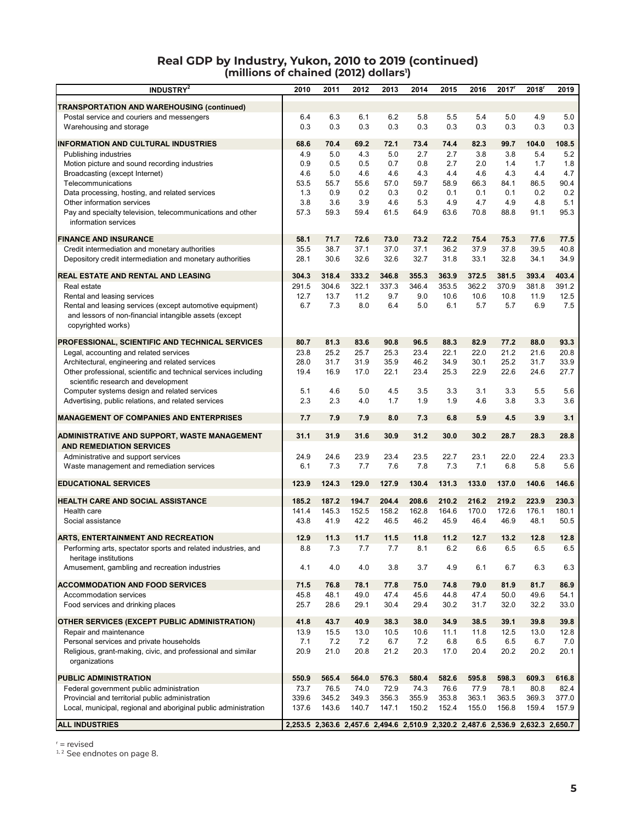#### **Real GDP by Industry, Yukon, 2010 to 2019 (continued) (millions of chained (2012) dollars1 )**

| <b>INDUSTRY<sup>2</sup></b>                                                                                                               | 2010  | 2011  | 2012      | 2013                                                                            | 2014  | 2015  | 2016  | 2017  | 2018' | 2019  |
|-------------------------------------------------------------------------------------------------------------------------------------------|-------|-------|-----------|---------------------------------------------------------------------------------|-------|-------|-------|-------|-------|-------|
| <b>TRANSPORTATION AND WAREHOUSING (continued)</b>                                                                                         |       |       |           |                                                                                 |       |       |       |       |       |       |
| Postal service and couriers and messengers                                                                                                | 6.4   | 6.3   | 6.1       | 6.2                                                                             | 5.8   | 5.5   | 5.4   | 5.0   | 4.9   | 5.0   |
| Warehousing and storage                                                                                                                   | 0.3   | 0.3   | 0.3       | 0.3                                                                             | 0.3   | 0.3   | 0.3   | 0.3   | 0.3   | 0.3   |
| <b>INFORMATION AND CULTURAL INDUSTRIES</b>                                                                                                | 68.6  | 70.4  | 69.2      | 72.1                                                                            | 73.4  | 74.4  | 82.3  | 99.7  | 104.0 | 108.5 |
| Publishing industries                                                                                                                     | 4.9   | 5.0   | 4.3       | 5.0                                                                             | 2.7   | 2.7   | 3.8   | 3.8   | 5.4   | 5.2   |
| Motion picture and sound recording industries                                                                                             | 0.9   | 0.5   | 0.5       | 0.7                                                                             | 0.8   | 2.7   | 2.0   | 1.4   | 1.7   | 1.8   |
| Broadcasting (except Internet)                                                                                                            | 4.6   | 5.0   | 4.6       | 4.6                                                                             | 4.3   | 4.4   | 4.6   | 4.3   | 4.4   | 4.7   |
| Telecommunications                                                                                                                        | 53.5  | 55.7  | 55.6      | 57.0                                                                            | 59.7  | 58.9  | 66.3  | 84.1  | 86.5  | 90.4  |
| Data processing, hosting, and related services                                                                                            | 1.3   | 0.9   | 0.2       | 0.3                                                                             | 0.2   | 0.1   | 0.1   | 0.1   | 0.2   | 0.2   |
| Other information services                                                                                                                | 3.8   | 3.6   | 3.9       | 4.6                                                                             | 5.3   | 4.9   | 4.7   | 4.9   | 4.8   | 5.1   |
| Pay and specialty television, telecommunications and other<br>information services                                                        | 57.3  | 59.3  | 59.4      | 61.5                                                                            | 64.9  | 63.6  | 70.8  | 88.8  | 91.1  | 95.3  |
| <b>FINANCE AND INSURANCE</b>                                                                                                              | 58.1  | 71.7  | 72.6      | 73.0                                                                            | 73.2  | 72.2  | 75.4  | 75.3  | 77.6  | 77.5  |
| Credit intermediation and monetary authorities                                                                                            | 35.5  | 38.7  | 37.1      | 37.0                                                                            | 37.1  | 36.2  | 37.9  | 37.8  | 39.5  | 40.8  |
| Depository credit intermediation and monetary authorities                                                                                 | 28.1  | 30.6  | 32.6      | 32.6                                                                            | 32.7  | 31.8  | 33.1  | 32.8  | 34.1  | 34.9  |
| <b>REAL ESTATE AND RENTAL AND LEASING</b>                                                                                                 | 304.3 | 318.4 | 333.2     | 346.8                                                                           | 355.3 | 363.9 | 372.5 | 381.5 | 393.4 | 403.4 |
| Real estate                                                                                                                               | 291.5 | 304.6 | 322.1     | 337.3                                                                           | 346.4 | 353.5 | 362.2 | 370.9 | 381.8 | 391.2 |
| Rental and leasing services                                                                                                               | 12.7  | 13.7  | 11.2      | 9.7                                                                             | 9.0   | 10.6  | 10.6  | 10.8  | 11.9  | 12.5  |
| Rental and leasing services (except automotive equipment)<br>and lessors of non-financial intangible assets (except<br>copyrighted works) | 6.7   | 7.3   | 8.0       | 6.4                                                                             | 5.0   | 6.1   | 5.7   | 5.7   | 6.9   | 7.5   |
| <b>PROFESSIONAL, SCIENTIFIC AND TECHNICAL SERVICES</b>                                                                                    | 80.7  | 81.3  | 83.6      | 90.8                                                                            | 96.5  | 88.3  | 82.9  | 77.2  | 88.0  | 93.3  |
| Legal, accounting and related services                                                                                                    | 23.8  | 25.2  | 25.7      | 25.3                                                                            | 23.4  | 22.1  | 22.0  | 21.2  | 21.6  | 20.8  |
| Architectural, engineering and related services                                                                                           | 28.0  | 31.7  | 31.9      | 35.9                                                                            | 46.2  | 34.9  | 30.1  | 25.2  | 31.7  | 33.9  |
| Other professional, scientific and technical services including<br>scientific research and development                                    | 19.4  | 16.9  | 17.0      | 22.1                                                                            | 23.4  | 25.3  | 22.9  | 22.6  | 24.6  | 27.7  |
| Computer systems design and related services                                                                                              | 5.1   | 4.6   | 5.0       | 4.5                                                                             | 3.5   | 3.3   | 3.1   | 3.3   | 5.5   | 5.6   |
| Advertising, public relations, and related services                                                                                       | 2.3   | 2.3   | 4.0       | 1.7                                                                             | 1.9   | 1.9   | 4.6   | 3.8   | 3.3   | 3.6   |
| <b>MANAGEMENT OF COMPANIES AND ENTERPRISES</b>                                                                                            | 7.7   | 7.9   | 7.9       | 8.0                                                                             | 7.3   | 6.8   | 5.9   | 4.5   | 3.9   | 3.1   |
| ADMINISTRATIVE AND SUPPORT, WASTE MANAGEMENT<br><b>AND REMEDIATION SERVICES</b>                                                           | 31.1  | 31.9  | 31.6      | 30.9                                                                            | 31.2  | 30.0  | 30.2  | 28.7  | 28.3  | 28.8  |
| Administrative and support services                                                                                                       | 24.9  | 24.6  | 23.9      | 23.4                                                                            | 23.5  | 22.7  | 23.1  | 22.0  | 22.4  | 23.3  |
| Waste management and remediation services                                                                                                 | 6.1   | 7.3   | 7.7       | 7.6                                                                             | 7.8   | 7.3   | 7.1   | 6.8   | 5.8   | 5.6   |
| <b>EDUCATIONAL SERVICES</b>                                                                                                               | 123.9 | 124.3 | 129.0     | 127.9                                                                           | 130.4 | 131.3 | 133.0 | 137.0 | 140.6 | 146.6 |
| HEALTH CARE AND SOCIAL ASSISTANCE                                                                                                         | 185.2 | 187.2 | 194.7     | 204.4                                                                           | 208.6 | 210.2 | 216.2 | 219.2 | 223.9 | 230.3 |
| Health care                                                                                                                               | 141.4 | 145.3 | 152.5     | 158.2                                                                           | 162.8 | 164.6 | 170.0 | 172.6 | 176.1 | 180.1 |
| Social assistance                                                                                                                         | 43.8  | 41.9  | 42.2      | 46.5                                                                            | 46.2  | 45.9  | 46.4  | 46.9  | 48.1  | 50.5  |
| <b>ARTS, ENTERTAINMENT AND RECREATION</b>                                                                                                 | 12.9  | 11.3  | 11.7      | 11.5                                                                            | 11.8  | 11.2  | 12.7  | 13.2  | 12.8  | 12.8  |
| Performing arts, spectator sports and related industries, and                                                                             | 8.8   | 1.3   | $\iota$ . | $\iota$ .                                                                       | 8.1   | 6.2   | 6.6   | 6.5   | 6.5   | 6.5   |
| heritage institutions<br>Amusement, gambling and recreation industries                                                                    | 4.1   | 4.0   | 4.0       | 3.8                                                                             | 3.7   | 4.9   | 6.1   | 6.7   | 6.3   | 6.3   |
| <b>ACCOMMODATION AND FOOD SERVICES</b>                                                                                                    | 71.5  | 76.8  | 78.1      | 77.8                                                                            | 75.0  | 74.8  | 79.0  | 81.9  | 81.7  | 86.9  |
| Accommodation services                                                                                                                    | 45.8  | 48.1  | 49.0      | 47.4                                                                            | 45.6  | 44.8  | 47.4  | 50.0  | 49.6  | 54.1  |
| Food services and drinking places                                                                                                         | 25.7  | 28.6  | 29.1      | 30.4                                                                            | 29.4  | 30.2  | 31.7  | 32.0  | 32.2  | 33.0  |
| <b>OTHER SERVICES (EXCEPT PUBLIC ADMINISTRATION)</b>                                                                                      | 41.8  | 43.7  | 40.9      | 38.3                                                                            | 38.0  | 34.9  | 38.5  | 39.1  | 39.8  | 39.8  |
| Repair and maintenance                                                                                                                    | 13.9  | 15.5  | 13.0      | 10.5                                                                            | 10.6  | 11.1  | 11.8  | 12.5  | 13.0  | 12.8  |
| Personal services and private households                                                                                                  | 7.1   | 7.2   | 7.2       | 6.7                                                                             | 7.2   | 6.8   | 6.5   | 6.5   | 6.7   | 7.0   |
| Religious, grant-making, civic, and professional and similar<br>organizations                                                             | 20.9  | 21.0  | 20.8      | 21.2                                                                            | 20.3  | 17.0  | 20.4  | 20.2  | 20.2  | 20.1  |
| <b>PUBLIC ADMINISTRATION</b>                                                                                                              | 550.9 | 565.4 | 564.0     | 576.3                                                                           | 580.4 | 582.6 | 595.8 | 598.3 | 609.3 | 616.8 |
| Federal government public administration                                                                                                  | 73.7  | 76.5  | 74.0      | 72.9                                                                            | 74.3  | 76.6  | 77.9  | 78.1  | 80.8  | 82.4  |
| Provincial and territorial public administration                                                                                          | 339.6 | 345.2 | 349.3     | 356.3                                                                           | 355.9 | 353.8 | 363.1 | 363.5 | 369.3 | 377.0 |
| Local, municipal, regional and aboriginal public administration                                                                           | 137.6 | 143.6 | 140.7     | 147.1                                                                           | 150.2 | 152.4 | 155.0 | 156.8 | 159.4 | 157.9 |
| <b>ALL INDUSTRIES</b>                                                                                                                     |       |       |           | 2,253.5 2,363.6 2,457.6 2,494.6 2,510.9 2,320.2 2,487.6 2,536.9 2,632.3 2,650.7 |       |       |       |       |       |       |

r = revised

 $1, 2$  See endnotes on page 8.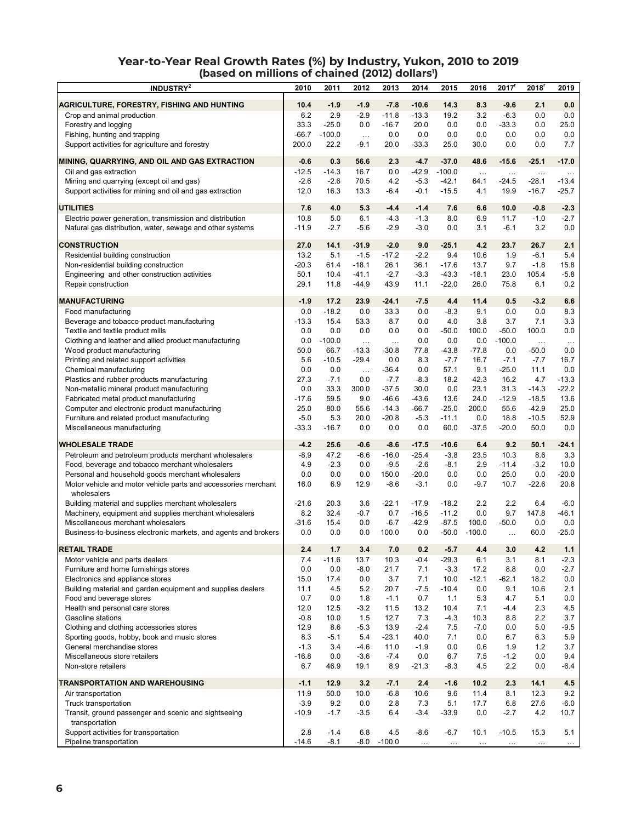#### **Year-to-Year Real Growth Rates (%) by Industry, Yukon, 2010 to 2019** (based on millions of chained (2012) dollars<sup>1</sup>)

| <b>INDUSTRY<sup>2</sup></b>                                                                  | 2010           | 2011         | 2012                | 2013                | 2014               | 2015               | 2016         | 2017           | 2018                | 2019            |
|----------------------------------------------------------------------------------------------|----------------|--------------|---------------------|---------------------|--------------------|--------------------|--------------|----------------|---------------------|-----------------|
| AGRICULTURE, FORESTRY, FISHING AND HUNTING                                                   | 10.4           | $-1.9$       | $-1.9$              | $-7.8$              | $-10.6$            | 14.3               | 8.3          | $-9.6$         | 2.1                 | 0.0             |
| Crop and animal production                                                                   | 6.2            | 2.9          | $-2.9$              | $-11.8$             | $-13.3$            | 19.2               | 3.2          | $-6.3$         | 0.0                 | 0.0             |
| Forestry and logging                                                                         | 33.3           | $-25.0$      | 0.0                 | $-16.7$             | 20.0               | 0.0                | 0.0          | $-33.3$        | 0.0                 | 25.0            |
| Fishing, hunting and trapping                                                                | $-66.7$        | $-100.0$     | $\ldots$            | 0.0                 | 0.0                | 0.0                | 0.0          | 0.0            | 0.0                 | 0.0             |
| Support activities for agriculture and forestry                                              | 200.0          | 22.2         | $-9.1$              | 20.0                | $-33.3$            | 25.0               | 30.0         | 0.0            | 0.0                 | 7.7             |
|                                                                                              |                |              |                     |                     |                    |                    |              |                |                     |                 |
| MINING, QUARRYING, AND OIL AND GAS EXTRACTION                                                | $-0.6$         | 0.3          | 56.6                | 2.3                 | $-4.7$             | $-37.0$            | 48.6         | $-15.6$        | $-25.1$             | $-17.0$         |
| Oil and gas extraction                                                                       | $-12.5$        | $-14.3$      | 16.7                | 0.0                 | $-42.9$            | $-100.0$           | $\ldots$     | $\ldots$       | $\ddotsc$           | $\ldots$        |
| Mining and quarrying (except oil and gas)                                                    | $-2.6$         | $-2.6$       | 70.5                | 4.2                 | $-5.3$             | $-42.1$            | 64.1         | $-24.5$        | $-28.1$             | $-13.4$         |
| Support activities for mining and oil and gas extraction                                     | 12.0           | 16.3         | 13.3                | -6.4                | $-0.1$             | $-15.5$            | 4.1          | 19.9           | $-16.7$             | $-25.7$         |
| <b>UTILITIES</b>                                                                             | 7.6            | 4.0          | 5.3                 | $-4.4$              | $-1.4$             | 7.6                | 6.6          | 10.0           | $-0.8$              | $-2.3$          |
| Electric power generation, transmission and distribution                                     | 10.8           | 5.0          | 6.1                 | $-4.3$              | $-1.3$             | 8.0                | 6.9          | 11.7           | $-1.0$              | $-2.7$          |
| Natural gas distribution, water, sewage and other systems                                    | $-11.9$        | $-2.7$       | $-5.6$              | $-2.9$              | $-3.0$             | 0.0                | 3.1          | $-6.1$         | 3.2                 | 0.0             |
| <b>CONSTRUCTION</b>                                                                          | 27.0           | 14.1         | $-31.9$             | $-2.0$              | 9.0                | $-25.1$            | 4.2          | 23.7           | 26.7                | 2.1             |
| Residential building construction                                                            | 13.2           | 5.1          | $-1.5$              | $-17.2$             | $-2.2$             | 9.4                | 10.6         | 1.9            | $-6.1$              | 5.4             |
| Non-residential building construction                                                        | $-20.3$        | 61.4         | $-18.1$             | 26.1                | 36.1               | $-17.6$            | 13.7         | 9.7            | $-1.8$              | 15.8            |
| Engineering and other construction activities                                                | 50.1           | 10.4         | $-41.1$             | $-2.7$              | $-3.3$             | $-43.3$            | $-18.1$      | 23.0           | 105.4               | $-5.8$          |
| Repair construction                                                                          | 29.1           | 11.8         | $-44.9$             | 43.9                | 11.1               | $-22.0$            | 26.0         | 75.8           | 6.1                 | 0.2             |
|                                                                                              |                |              |                     |                     |                    |                    |              |                |                     |                 |
| <b>MANUFACTURING</b>                                                                         | $-1.9$         | 17.2         | 23.9                | $-24.1$             | $-7.5$             | 4.4                | 11.4         | 0.5            | $-3.2$              | 6.6             |
| Food manufacturing                                                                           | 0.0            | $-18.2$      | 0.0                 | 33.3                | 0.0                | $-8.3$             | 9.1          | 0.0            | 0.0                 | 8.3             |
| Beverage and tobacco product manufacturing                                                   | $-13.3$<br>0.0 | 15.4<br>0.0  | 53.3                | 8.7                 | 0.0                | 4.0                | 3.8          | 3.7<br>$-50.0$ | 7.1<br>100.0        | 3.3             |
| Textile and textile product mills<br>Clothing and leather and allied product manufacturing   | 0.0            | $-100.0$     | 0.0                 | 0.0                 | 0.0<br>0.0         | $-50.0$<br>0.0     | 100.0<br>0.0 | $-100.0$       |                     | 0.0             |
| Wood product manufacturing                                                                   | 50.0           | 66.7         | $\ldots$<br>$-13.3$ | $\cdots$<br>$-30.8$ | 77.8               | -43.8              | -77.8        | 0.0            | $\ldots$<br>$-50.0$ | $\ldots$<br>0.0 |
| Printing and related support activities                                                      | 5.6            | $-10.5$      | $-29.4$             | 0.0                 | 8.3                | $-7.7$             | 16.7         | $-7.1$         | $-7.7$              | 16.7            |
| Chemical manufacturing                                                                       | 0.0            | 0.0          | $\ddotsc$           | $-36.4$             | 0.0                | 57.1               | 9.1          | $-25.0$        | 11.1                | 0.0             |
| Plastics and rubber products manufacturing                                                   | 27.3           | $-7.1$       | 0.0                 | $-7.7$              | $-8.3$             | 18.2               | 42.3         | 16.2           | 4.7                 | $-13.3$         |
| Non-metallic mineral product manufacturing                                                   | 0.0            | 33.3         | 300.0               | $-37.5$             | 30.0               | 0.0                | 23.1         | 31.3           | $-14.3$             | $-22.2$         |
| Fabricated metal product manufacturing                                                       | $-17.6$        | 59.5         | 9.0                 | $-46.6$             | $-43.6$            | 13.6               | 24.0         | $-12.9$        | $-18.5$             | 13.6            |
| Computer and electronic product manufacturing                                                | 25.0           | 80.0         | 55.6                | $-14.3$             | $-66.7$            | $-25.0$            | 200.0        | 55.6           | $-42.9$             | 25.0            |
| Furniture and related product manufacturing                                                  | $-5.0$         | 5.3          | 20.0                | $-20.8$             | $-5.3$             | $-11.1$            | 0.0          | 18.8           | $-10.5$             | 52.9            |
| Miscellaneous manufacturing                                                                  | $-33.3$        | $-16.7$      | 0.0                 | 0.0                 | 0.0                | 60.0               | $-37.5$      | $-20.0$        | 50.0                | 0.0             |
| <b>WHOLESALE TRADE</b>                                                                       | $-4.2$         | 25.6         | $-0.6$              | $-8.6$              | $-17.5$            | $-10.6$            | 6.4          | 9.2            | 50.1                | $-24.1$         |
| Petroleum and petroleum products merchant wholesalers                                        | $-8.9$         | 47.2         | $-6.6$              | $-16.0$             | $-25.4$            | $-3.8$             | 23.5         | 10.3           | 8.6                 | 3.3             |
| Food, beverage and tobacco merchant wholesalers                                              | 4.9            | $-2.3$       | 0.0                 | $-9.5$              | $-2.6$             | $-8.1$             | 2.9          | $-11.4$        | $-3.2$              | 10.0            |
| Personal and household goods merchant wholesalers                                            | 0.0            | 0.0          | 0.0                 | 150.0               | $-20.0$            | 0.0                | 0.0          | 25.0           | 0.0                 | $-20.0$         |
| Motor vehicle and motor vehicle parts and accessories merchant                               | 16.0           | 6.9          | 12.9                | $-8.6$              | $-3.1$             | 0.0                | $-9.7$       | 10.7           | -22.6               | 20.8            |
| wholesalers                                                                                  |                |              |                     |                     |                    |                    |              |                |                     |                 |
| Building material and supplies merchant wholesalers                                          | $-21.6$        | 20.3         | 3.6                 | $-22.1$             | $-17.9$            | $-18.2$            | 2.2          | 2.2            | 6.4                 | $-6.0$          |
| Machinery, equipment and supplies merchant wholesalers<br>Miscellaneous merchant wholesalers | 8.2            | 32.4         | $-0.7$<br>0.0       | 0.7<br>$-6.7$       | $-16.5$<br>$-42.9$ | $-11.2$<br>$-87.5$ | 0.0<br>100.0 | 9.7<br>$-50.0$ | 147.8<br>0.0        | $-46.1$<br>0.0  |
| Business-to-business electronic markets, and agents and brokers                              | $-31.6$<br>0.0 | 15.4<br>0.0  | 0.0                 | 100.0               | 0.0                | $-50.0$            | $-100.0$     | $\cdots$       | 60.0                | $-25.0$         |
|                                                                                              |                |              |                     |                     |                    |                    |              |                |                     |                 |
| <b>RETAIL TRADE</b>                                                                          | 2.4            | 1.7          | 3.4                 | 7.0                 | 0.2                | $-5.7$             | 4.4          | 3.0            | 4.2                 | 1.1             |
| Motor vehicle and parts dealers                                                              | 7.4            | $-11.6$      | 13.7                | 10.3                | $-0.4$             | $-29.3$            | 6.1          | 3.1            | 8.1                 | $-2.3$          |
| Furniture and home furnishings stores                                                        | 0.0            | 0.0          | $-8.0$              | 21.7                | 7.1                | $-3.3$             | 17.2         | 8.8            | 0.0                 | $-2.7$          |
| Electronics and appliance stores                                                             | 15.0           | 17.4         | 0.0                 | 3.7                 | 7.1                | 10.0               | $-12.1$      | -62.1          | 18.2                | 0.0             |
| Building material and garden equipment and supplies dealers                                  | 11.1           | 4.5          | 5.2                 | 20.7                | $-7.5$             | $-10.4$            | 0.0          | 9.1<br>4.7     | 10.6                | 2.1             |
| Food and beverage stores<br>Health and personal care stores                                  | 0.7<br>12.0    | 0.0<br>12.5  | 1.8<br>$-3.2$       | $-1.1$<br>11.5      | 0.7<br>13.2        | 1.1<br>10.4        | 5.3<br>7.1   | $-4.4$         | 5.1<br>2.3          | 0.0<br>4.5      |
| Gasoline stations                                                                            | $-0.8$         | 10.0         | 1.5                 | 12.7                | 7.3                | $-4.3$             | 10.3         | 8.8            | 2.2                 | 3.7             |
| Clothing and clothing accessories stores                                                     | 12.9           | 8.6          | $-5.3$              | 13.9                | $-2.4$             | 7.5                | $-7.0$       | 0.0            | 5.0                 | $-9.5$          |
| Sporting goods, hobby, book and music stores                                                 | 8.3            | $-5.1$       | 5.4                 | $-23.1$             | 40.0               | 7.1                | 0.0          | 6.7            | 6.3                 | 5.9             |
| General merchandise stores                                                                   | $-1.3$         | 3.4          | -4.6                | 11.0                | $-1.9$             | 0.0                | 0.6          | 1.9            | 1.2                 | 3.7             |
| Miscellaneous store retailers                                                                | $-16.8$        | 0.0          | $-3.6$              | $-7.4$              | 0.0                | 6.7                | 7.5          | $-1.2$         | 0.0                 | 9.4             |
| Non-store retailers                                                                          | 6.7            | 46.9         | 19.1                | 8.9                 | $-21.3$            | $-8.3$             | 4.5          | 2.2            | 0.0                 | $-6.4$          |
|                                                                                              |                |              |                     |                     |                    |                    |              |                |                     |                 |
| <b>TRANSPORTATION AND WAREHOUSING</b><br>Air transportation                                  | $-1.1$<br>11.9 | 12.9<br>50.0 | 3.2<br>10.0         | $-7.1$<br>$-6.8$    | 2.4<br>10.6        | $-1.6$<br>9.6      | 10.2<br>11.4 | 2.3<br>8.1     | 14.1<br>12.3        | 4.5<br>9.2      |
| Truck transportation                                                                         | $-3.9$         | 9.2          | 0.0                 | 2.8                 | 7.3                | 5.1                | 17.7         | 6.8            | 27.6                | $-6.0$          |
| Transit, ground passenger and scenic and sightseeing                                         | $-10.9$        | $-1.7$       | $-3.5$              | 6.4                 | $-3.4$             | $-33.9$            | 0.0          | -2.7           | 4.2                 | 10.7            |
| transportation                                                                               |                |              |                     |                     |                    |                    |              |                |                     |                 |
| Support activities for transportation                                                        | 2.8            | $-1.4$       | 6.8                 | 4.5                 | $-8.6$             | $-6.7$             | 10.1         | $-10.5$        | 15.3                | 5.1             |
| Pipeline transportation                                                                      | $-14.6$        | $-8.1$       |                     | $-8.0 - 100.0$      | $\ldots$           | $\ldots$           | $\ldots$     |                |                     |                 |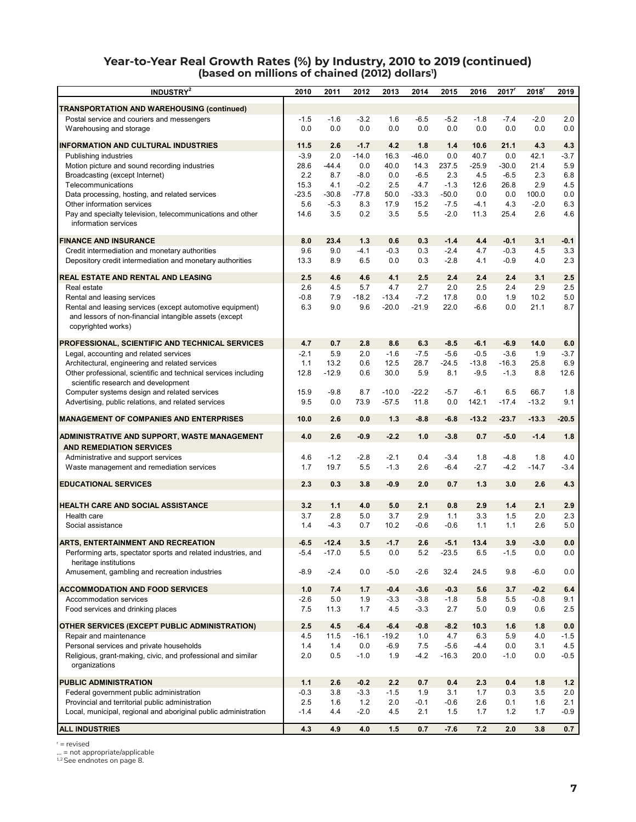#### **Year-to-Year Real Growth Rates (%) by Industry, 2010 to 2019 (continued)** (based on millions of chained (2012) dollars<sup>1</sup>)

| INDUSTRY <sup>2</sup>                                                                                                                     | 2010    | 2011    | 2012    | 2013    | 2014    | 2015    | 2016    | $2017$ <sup>r</sup> | 2018'   | 2019    |
|-------------------------------------------------------------------------------------------------------------------------------------------|---------|---------|---------|---------|---------|---------|---------|---------------------|---------|---------|
| TRANSPORTATION AND WAREHOUSING (continued)                                                                                                |         |         |         |         |         |         |         |                     |         |         |
| Postal service and couriers and messengers                                                                                                | $-1.5$  | $-1.6$  | $-3.2$  | 1.6     | $-6.5$  | $-5.2$  | $-1.8$  | $-7.4$              | $-2.0$  | 2.0     |
| Warehousing and storage                                                                                                                   | 0.0     | 0.0     | 0.0     | 0.0     | 0.0     | 0.0     | 0.0     | 0.0                 | 0.0     | 0.0     |
| <b>INFORMATION AND CULTURAL INDUSTRIES</b>                                                                                                | 11.5    | 2.6     | $-1.7$  | 4.2     | 1.8     | 1.4     | 10.6    | 21.1                | 4.3     | 4.3     |
| Publishing industries                                                                                                                     | $-3.9$  | 2.0     | $-14.0$ | 16.3    | $-46.0$ | 0.0     | 40.7    | 0.0                 | 42.1    | $-3.7$  |
| Motion picture and sound recording industries                                                                                             | 28.6    | $-44.4$ | 0.0     | 40.0    | 14.3    | 237.5   | $-25.9$ | -30.0               | 21.4    | 5.9     |
| Broadcasting (except Internet)                                                                                                            | 2.2     | 8.7     | $-8.0$  | 0.0     | $-6.5$  | 2.3     | 4.5     | $-6.5$              | 2.3     | 6.8     |
| Telecommunications                                                                                                                        | 15.3    | 4.1     | $-0.2$  | 2.5     | 4.7     | $-1.3$  | 12.6    | 26.8                | 2.9     | 4.5     |
| Data processing, hosting, and related services                                                                                            | $-23.5$ | $-30.8$ | $-77.8$ | 50.0    | $-33.3$ | $-50.0$ | 0.0     | 0.0                 | 100.0   | 0.0     |
| Other information services                                                                                                                | 5.6     | $-5.3$  | 8.3     | 17.9    | 15.2    | $-7.5$  | $-4.1$  | 4.3                 | $-2.0$  | 6.3     |
| Pay and specialty television, telecommunications and other<br>information services                                                        | 14.6    | 3.5     | 0.2     | 3.5     | 5.5     | $-2.0$  | 11.3    | 25.4                | 2.6     | 4.6     |
| <b>FINANCE AND INSURANCE</b>                                                                                                              | 8.0     | 23.4    | 1.3     | 0.6     | 0.3     | $-1.4$  | 4.4     | $-0.1$              | 3.1     | $-0.1$  |
| Credit intermediation and monetary authorities                                                                                            | 9.6     | 9.0     | $-4.1$  | $-0.3$  | 0.3     | $-2.4$  | 4.7     | $-0.3$              | 4.5     | 3.3     |
| Depository credit intermediation and monetary authorities                                                                                 | 13.3    | 8.9     | 6.5     | 0.0     | 0.3     | $-2.8$  | 4.1     | $-0.9$              | 4.0     | 2.3     |
| REAL ESTATE AND RENTAL AND LEASING                                                                                                        | 2.5     | 4.6     | 4.6     | 4.1     | 2.5     | 2.4     | 2.4     | 2.4                 | 3.1     | 2.5     |
| Real estate                                                                                                                               | 2.6     | 4.5     | 5.7     | 4.7     | 2.7     | 2.0     | 2.5     | 2.4                 | 2.9     | 2.5     |
| Rental and leasing services                                                                                                               | $-0.8$  | 7.9     | $-18.2$ | $-13.4$ | $-7.2$  | 17.8    | 0.0     | 1.9                 | 10.2    | 5.0     |
| Rental and leasing services (except automotive equipment)<br>and lessors of non-financial intangible assets (except<br>copyrighted works) | 6.3     | 9.0     | 9.6     | $-20.0$ | $-21.9$ | 22.0    | $-6.6$  | 0.0                 | 21.1    | 8.7     |
| PROFESSIONAL, SCIENTIFIC AND TECHNICAL SERVICES                                                                                           | 4.7     | 0.7     | 2.8     | 8.6     | 6.3     | $-8.5$  | $-6.1$  | $-6.9$              | 14.0    | 6.0     |
| Legal, accounting and related services                                                                                                    | $-2.1$  | 5.9     | 2.0     | $-1.6$  | $-7.5$  | $-5.6$  | $-0.5$  | $-3.6$              | 1.9     | $-3.7$  |
| Architectural, engineering and related services                                                                                           | 1.1     | 13.2    | 0.6     | 12.5    | 28.7    | $-24.5$ | $-13.8$ | $-16.3$             | 25.8    | 6.9     |
| Other professional, scientific and technical services including                                                                           | 12.8    | $-12.9$ | 0.6     | 30.0    | 5.9     | 8.1     | $-9.5$  | $-1.3$              | 8.8     | 12.6    |
| scientific research and development                                                                                                       |         |         |         |         |         |         |         |                     |         |         |
| Computer systems design and related services                                                                                              | 15.9    | $-9.8$  | 8.7     | $-10.0$ | $-22.2$ | $-5.7$  | $-6.1$  | 6.5                 | 66.7    | 1.8     |
| Advertising, public relations, and related services                                                                                       | 9.5     | 0.0     | 73.9    | $-57.5$ | 11.8    | 0.0     | 142.1   | $-17.4$             | $-13.2$ | 9.1     |
| <b>MANAGEMENT OF COMPANIES AND ENTERPRISES</b>                                                                                            | 10.0    | 2.6     | 0.0     | 1.3     | $-8.8$  | -6.8    | $-13.2$ | $-23.7$             | $-13.3$ | $-20.5$ |
|                                                                                                                                           |         |         |         |         |         |         |         |                     |         |         |
| ADMINISTRATIVE AND SUPPORT, WASTE MANAGEMENT<br><b>AND REMEDIATION SERVICES</b>                                                           | 4.0     | 2.6     | $-0.9$  | $-2.2$  | 1.0     | $-3.8$  | 0.7     | $-5.0$              | $-1.4$  | 1.8     |
| Administrative and support services                                                                                                       | 4.6     | $-1.2$  | $-2.8$  | $-2.1$  | 0.4     | $-3.4$  | 1.8     | $-4.8$              | 1.8     | 4.0     |
| Waste management and remediation services                                                                                                 | 1.7     | 19.7    | 5.5     | $-1.3$  | 2.6     | $-6.4$  | $-2.7$  | $-4.2$              | $-14.7$ | $-3.4$  |
|                                                                                                                                           |         |         |         |         |         |         |         |                     |         |         |
| <b>EDUCATIONAL SERVICES</b>                                                                                                               | 2.3     | 0.3     | 3.8     | $-0.9$  | 2.0     | 0.7     | 1.3     | 3.0                 | 2.6     | 4.3     |
| <b>HEALTH CARE AND SOCIAL ASSISTANCE</b>                                                                                                  | 3.2     | 1.1     | 4.0     | 5.0     | 2.1     | 0.8     | 2.9     | 1.4                 | 2.1     | 2.9     |
| Health care                                                                                                                               | 3.7     | 2.8     | 5.0     | 3.7     | 2.9     | 1.1     | 3.3     | 1.5                 | 2.0     | 2.3     |
| Social assistance                                                                                                                         | 1.4     | $-4.3$  | 0.7     | 10.2    | $-0.6$  | -0.6    | 1.1     | 1.1                 | 2.6     | 5.0     |
|                                                                                                                                           |         |         |         |         |         |         |         |                     |         |         |
| <b>ARTS, ENTERTAINMENT AND RECREATION</b>                                                                                                 | $-6.5$  | $-12.4$ | 3.5     | $-1.7$  | 2.6     | $-5.1$  | 13.4    | 3.9                 | $-3.0$  | 0.0     |
| Performing arts, spectator sports and related industries, and                                                                             | $-5.4$  | $-17.0$ | 5.5     | $0.0\,$ | 5.2     | $-23.5$ | 6.5     | $-1.5$              | $0.0\,$ | $0.0\,$ |
| heritage institutions<br>Amusement, gambling and recreation industries                                                                    | $-8.9$  | $-2.4$  | 0.0     | $-5.0$  | $-2.6$  | 32.4    | 24.5    | 9.8                 | $-6.0$  | 0.0     |
| <b>ACCOMMODATION AND FOOD SERVICES</b>                                                                                                    | 1.0     | 7.4     | 1.7     | $-0.4$  | $-3.6$  | $-0.3$  | 5.6     | 3.7                 | $-0.2$  | 6.4     |
| Accommodation services                                                                                                                    | $-2.6$  | 5.0     | 1.9     | $-3.3$  | $-3.8$  | $-1.8$  | 5.8     | 5.5                 | $-0.8$  | 9.1     |
| Food services and drinking places                                                                                                         | 7.5     | 11.3    | 1.7     | 4.5     | $-3.3$  | 2.7     | 5.0     | 0.9                 | 0.6     | 2.5     |
|                                                                                                                                           |         |         |         |         |         |         |         |                     |         |         |
| OTHER SERVICES (EXCEPT PUBLIC ADMINISTRATION)                                                                                             | 2.5     | 4.5     | $-6.4$  | $-6.4$  | $-0.8$  | -8.2    | 10.3    | 1.6                 | 1.8     | 0.0     |
| Repair and maintenance                                                                                                                    | 4.5     | 11.5    | $-16.1$ | $-19.2$ | 1.0     | 4.7     | 6.3     | 5.9                 | 4.0     | $-1.5$  |
| Personal services and private households                                                                                                  | 1.4     | 1.4     | 0.0     | $-6.9$  | 7.5     | $-5.6$  | $-4.4$  | 0.0                 | 3.1     | 4.5     |
| Religious, grant-making, civic, and professional and similar<br>organizations                                                             | 2.0     | 0.5     | $-1.0$  | 1.9     | $-4.2$  | $-16.3$ | 20.0    | $-1.0$              | 0.0     | $-0.5$  |
| PUBLIC ADMINISTRATION                                                                                                                     | 1.1     | 2.6     | $-0.2$  | 2.2     | 0.7     | 0.4     | 2.3     | 0.4                 | 1.8     | 1.2     |
| Federal government public administration                                                                                                  | $-0.3$  | 3.8     | $-3.3$  | $-1.5$  | 1.9     | 3.1     | 1.7     | 0.3                 | 3.5     | 2.0     |
| Provincial and territorial public administration                                                                                          | 2.5     | 1.6     | $1.2$   | 2.0     | $-0.1$  | $-0.6$  | 2.6     | 0.1                 | 1.6     | 2.1     |
| Local, municipal, regional and aboriginal public administration                                                                           | $-1.4$  | 4.4     | $-2.0$  | 4.5     | 2.1     | 1.5     | 1.7     | 1.2                 | 1.7     | $-0.9$  |
| <b>ALL INDUSTRIES</b>                                                                                                                     | 4.3     | 4.9     | 4.0     | 1.5     | 0.7     | $-7.6$  | 7.2     | 2.0                 | 3.8     | 0.7     |
|                                                                                                                                           |         |         |         |         |         |         |         |                     |         |         |

 $r =$  revised

... = not appropriate/applicable

<sup>1,2</sup> See endnotes on page 8.